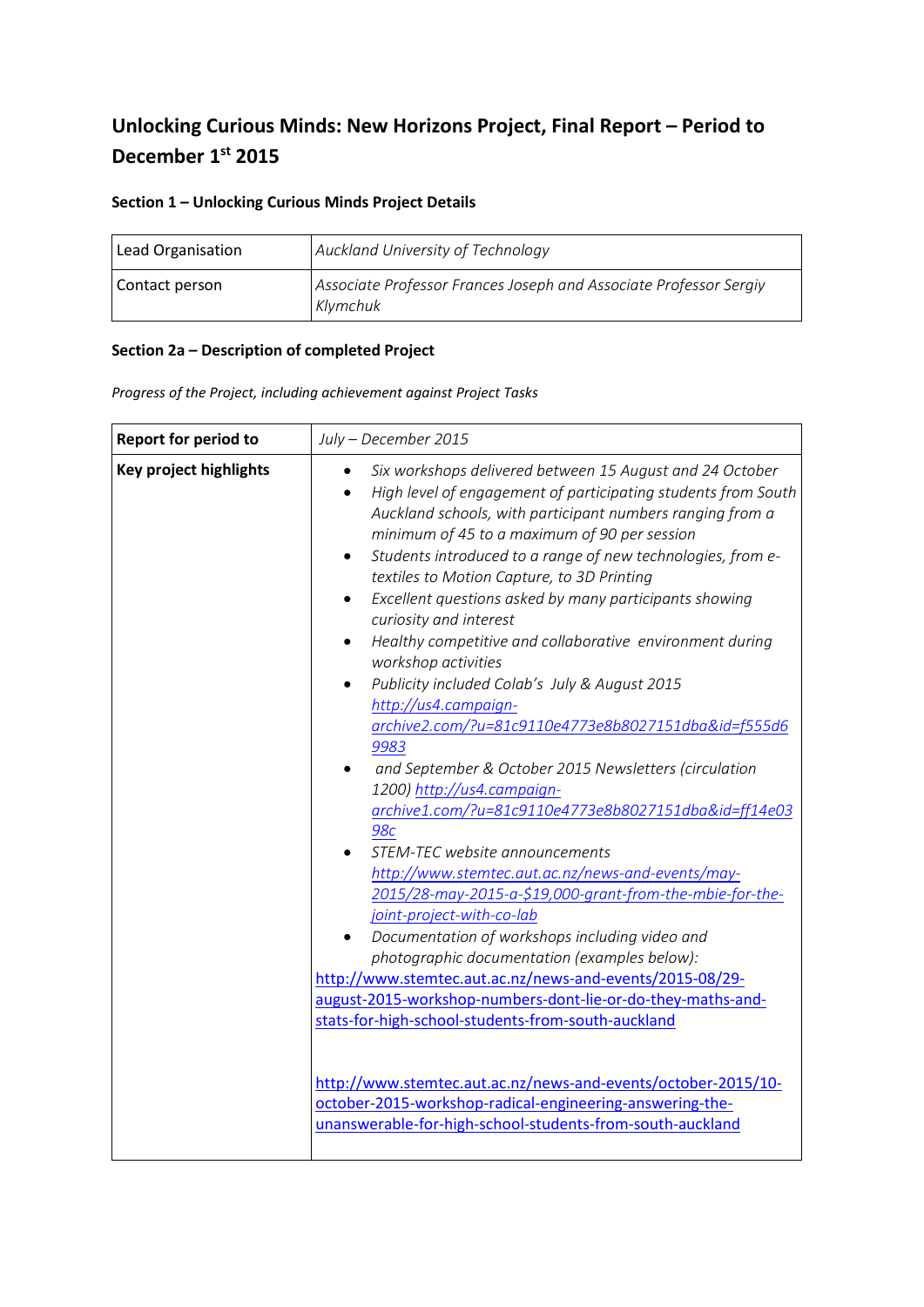# **Unlocking Curious Minds: New Horizons Project, Final Report – Period to December 1st 2015**

## **Section 1 – Unlocking Curious Minds Project Details**

| Lead Organisation | Auckland University of Technology                                             |
|-------------------|-------------------------------------------------------------------------------|
| Contact person    | Associate Professor Frances Joseph and Associate Professor Sergiy<br>Klymchuk |

### **Section 2a – Description of completed Project**

*Progress of the Project, including achievement against Project Tasks*

| <b>Report for period to</b>   | July - December 2015                                                                                                                                                                                                                                                                                                                                                                                                                                                                                                                                                                                                                                                                                                                                                                                                                                                                                                                                                                                                                                                                                                                                                                                                                                                                                                                                                                                                                         |
|-------------------------------|----------------------------------------------------------------------------------------------------------------------------------------------------------------------------------------------------------------------------------------------------------------------------------------------------------------------------------------------------------------------------------------------------------------------------------------------------------------------------------------------------------------------------------------------------------------------------------------------------------------------------------------------------------------------------------------------------------------------------------------------------------------------------------------------------------------------------------------------------------------------------------------------------------------------------------------------------------------------------------------------------------------------------------------------------------------------------------------------------------------------------------------------------------------------------------------------------------------------------------------------------------------------------------------------------------------------------------------------------------------------------------------------------------------------------------------------|
| <b>Key project highlights</b> | Six workshops delivered between 15 August and 24 October<br>High level of engagement of participating students from South<br>Auckland schools, with participant numbers ranging from a<br>minimum of 45 to a maximum of 90 per session<br>Students introduced to a range of new technologies, from e-<br>$\bullet$<br>textiles to Motion Capture, to 3D Printing<br>Excellent questions asked by many participants showing<br>curiosity and interest<br>Healthy competitive and collaborative environment during<br>workshop activities<br>Publicity included Colab's July & August 2015<br>http://us4.campaign-<br>archive2.com/?u=81c9110e4773e8b8027151dba&id=f555d6<br>9983<br>and September & October 2015 Newsletters (circulation<br>1200) http://us4.campaign-<br>archive1.com/?u=81c9110e4773e8b8027151dba&id=ff14e03<br><b>98c</b><br>STEM-TEC website announcements<br>http://www.stemtec.aut.ac.nz/news-and-events/may-<br>2015/28-may-2015-a-\$19,000-grant-from-the-mbie-for-the-<br>joint-project-with-co-lab<br>Documentation of workshops including video and<br>photographic documentation (examples below):<br>http://www.stemtec.aut.ac.nz/news-and-events/2015-08/29-<br>august-2015-workshop-numbers-dont-lie-or-do-they-maths-and-<br>stats-for-high-school-students-from-south-auckland<br>http://www.stemtec.aut.ac.nz/news-and-events/october-2015/10-<br>october-2015-workshop-radical-engineering-answering-the- |
|                               | unanswerable-for-high-school-students-from-south-auckland                                                                                                                                                                                                                                                                                                                                                                                                                                                                                                                                                                                                                                                                                                                                                                                                                                                                                                                                                                                                                                                                                                                                                                                                                                                                                                                                                                                    |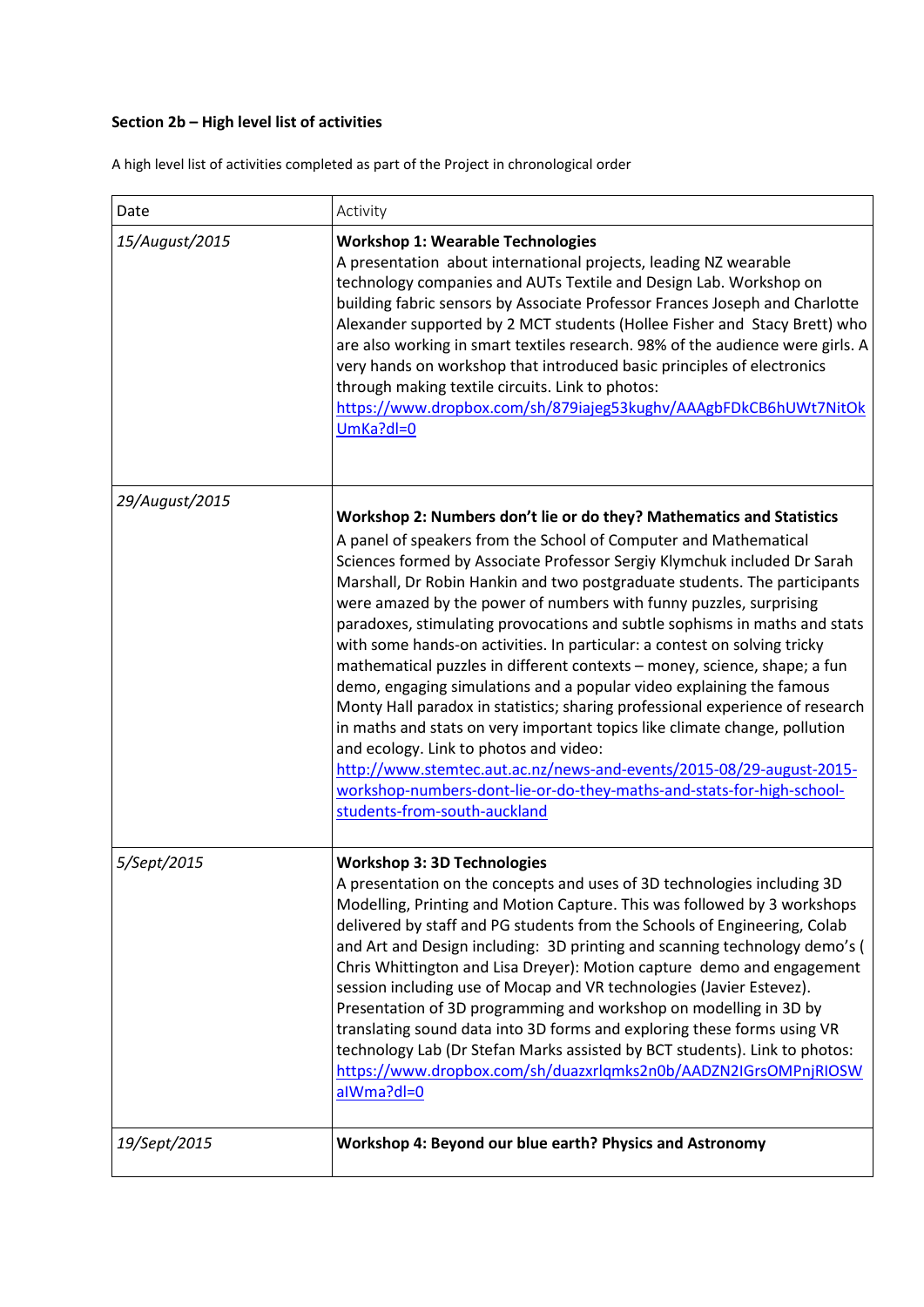# **Section 2b – High level list of activities**

A high level list of activities completed as part of the Project in chronological order

| Date           | Activity                                                                                                                                                                                                                                                                                                                                                                                                                                                                                                                                                                                                                                                                                                                                                                                                                                                                                                                                                                                                                                                                          |
|----------------|-----------------------------------------------------------------------------------------------------------------------------------------------------------------------------------------------------------------------------------------------------------------------------------------------------------------------------------------------------------------------------------------------------------------------------------------------------------------------------------------------------------------------------------------------------------------------------------------------------------------------------------------------------------------------------------------------------------------------------------------------------------------------------------------------------------------------------------------------------------------------------------------------------------------------------------------------------------------------------------------------------------------------------------------------------------------------------------|
| 15/August/2015 | <b>Workshop 1: Wearable Technologies</b><br>A presentation about international projects, leading NZ wearable<br>technology companies and AUTs Textile and Design Lab. Workshop on<br>building fabric sensors by Associate Professor Frances Joseph and Charlotte<br>Alexander supported by 2 MCT students (Hollee Fisher and Stacy Brett) who<br>are also working in smart textiles research. 98% of the audience were girls. A<br>very hands on workshop that introduced basic principles of electronics<br>through making textile circuits. Link to photos:<br>https://www.dropbox.com/sh/879iajeg53kughv/AAAgbFDkCB6hUWt7NitOk<br>$UmKa?dl=0$                                                                                                                                                                                                                                                                                                                                                                                                                                  |
| 29/August/2015 | Workshop 2: Numbers don't lie or do they? Mathematics and Statistics<br>A panel of speakers from the School of Computer and Mathematical<br>Sciences formed by Associate Professor Sergiy Klymchuk included Dr Sarah<br>Marshall, Dr Robin Hankin and two postgraduate students. The participants<br>were amazed by the power of numbers with funny puzzles, surprising<br>paradoxes, stimulating provocations and subtle sophisms in maths and stats<br>with some hands-on activities. In particular: a contest on solving tricky<br>mathematical puzzles in different contexts - money, science, shape; a fun<br>demo, engaging simulations and a popular video explaining the famous<br>Monty Hall paradox in statistics; sharing professional experience of research<br>in maths and stats on very important topics like climate change, pollution<br>and ecology. Link to photos and video:<br>http://www.stemtec.aut.ac.nz/news-and-events/2015-08/29-august-2015-<br>workshop-numbers-dont-lie-or-do-they-maths-and-stats-for-high-school-<br>students-from-south-auckland |
| 5/Sept/2015    | <b>Workshop 3: 3D Technologies</b><br>A presentation on the concepts and uses of 3D technologies including 3D<br>Modelling, Printing and Motion Capture. This was followed by 3 workshops<br>delivered by staff and PG students from the Schools of Engineering, Colab<br>and Art and Design including: 3D printing and scanning technology demo's (<br>Chris Whittington and Lisa Dreyer): Motion capture demo and engagement<br>session including use of Mocap and VR technologies (Javier Estevez).<br>Presentation of 3D programming and workshop on modelling in 3D by<br>translating sound data into 3D forms and exploring these forms using VR<br>technology Lab (Dr Stefan Marks assisted by BCT students). Link to photos:<br>https://www.dropbox.com/sh/duazxrlqmks2n0b/AADZN2IGrsOMPnjRIOSW<br>alWma?dl=0                                                                                                                                                                                                                                                             |
| 19/Sept/2015   | Workshop 4: Beyond our blue earth? Physics and Astronomy                                                                                                                                                                                                                                                                                                                                                                                                                                                                                                                                                                                                                                                                                                                                                                                                                                                                                                                                                                                                                          |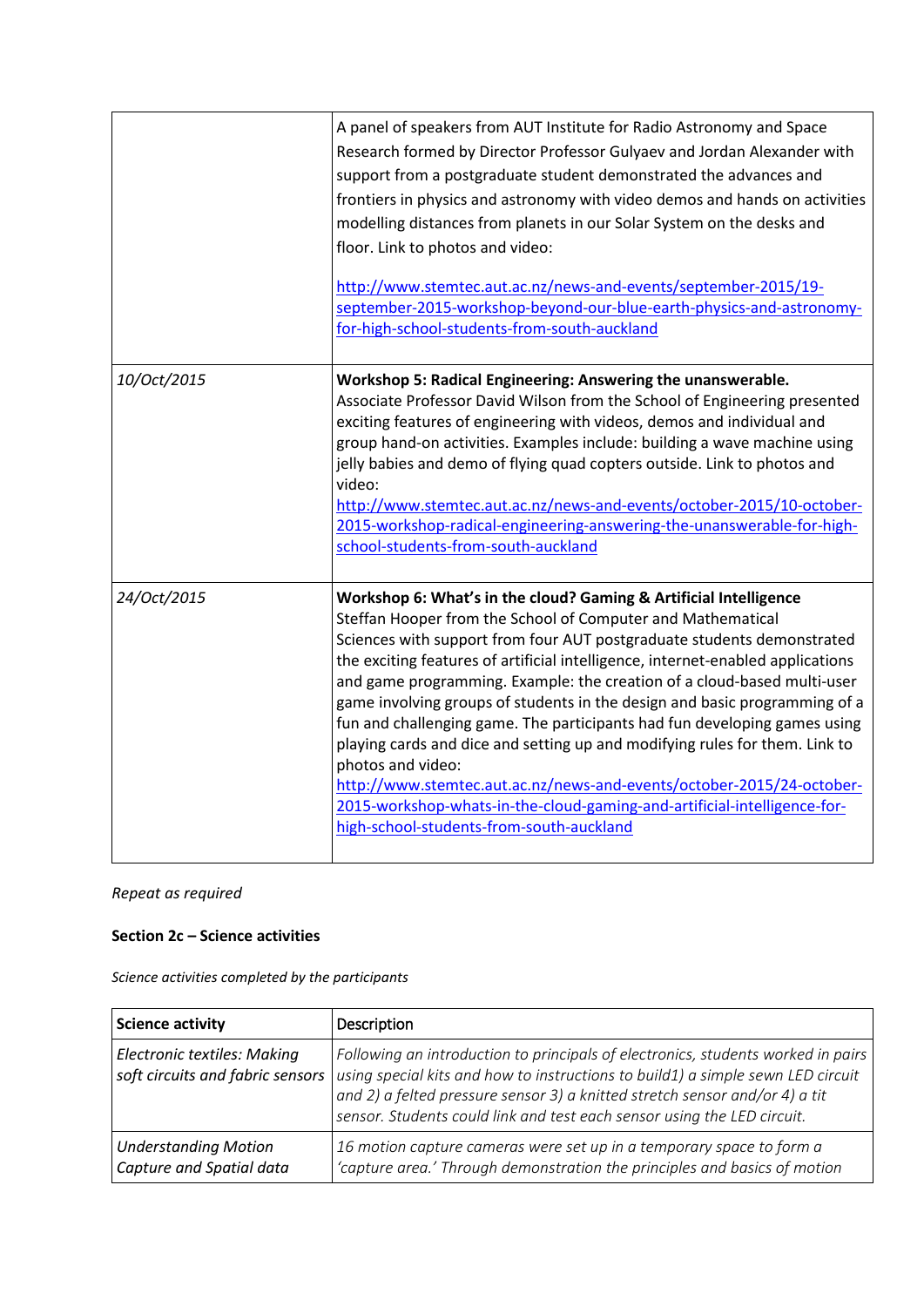|             | A panel of speakers from AUT Institute for Radio Astronomy and Space<br>Research formed by Director Professor Gulyaev and Jordan Alexander with<br>support from a postgraduate student demonstrated the advances and<br>frontiers in physics and astronomy with video demos and hands on activities<br>modelling distances from planets in our Solar System on the desks and<br>floor. Link to photos and video:<br>http://www.stemtec.aut.ac.nz/news-and-events/september-2015/19-<br>september-2015-workshop-beyond-our-blue-earth-physics-and-astronomy-<br>for-high-school-students-from-south-auckland                                                                                                                                                                                                                              |
|-------------|------------------------------------------------------------------------------------------------------------------------------------------------------------------------------------------------------------------------------------------------------------------------------------------------------------------------------------------------------------------------------------------------------------------------------------------------------------------------------------------------------------------------------------------------------------------------------------------------------------------------------------------------------------------------------------------------------------------------------------------------------------------------------------------------------------------------------------------|
| 10/Oct/2015 | Workshop 5: Radical Engineering: Answering the unanswerable.<br>Associate Professor David Wilson from the School of Engineering presented<br>exciting features of engineering with videos, demos and individual and<br>group hand-on activities. Examples include: building a wave machine using<br>jelly babies and demo of flying quad copters outside. Link to photos and<br>video:<br>http://www.stemtec.aut.ac.nz/news-and-events/october-2015/10-october-<br>2015-workshop-radical-engineering-answering-the-unanswerable-for-high-<br>school-students-from-south-auckland                                                                                                                                                                                                                                                         |
| 24/Oct/2015 | Workshop 6: What's in the cloud? Gaming & Artificial Intelligence<br>Steffan Hooper from the School of Computer and Mathematical<br>Sciences with support from four AUT postgraduate students demonstrated<br>the exciting features of artificial intelligence, internet-enabled applications<br>and game programming. Example: the creation of a cloud-based multi-user<br>game involving groups of students in the design and basic programming of a<br>fun and challenging game. The participants had fun developing games using<br>playing cards and dice and setting up and modifying rules for them. Link to<br>photos and video:<br>http://www.stemtec.aut.ac.nz/news-and-events/october-2015/24-october-<br>2015-workshop-whats-in-the-cloud-gaming-and-artificial-intelligence-for-<br>high-school-students-from-south-auckland |

# **Section 2c – Science activities**

*Science activities completed by the participants*

| Science activity                                        | Description                                                                                                                                                                                                                                                                                                                                                      |
|---------------------------------------------------------|------------------------------------------------------------------------------------------------------------------------------------------------------------------------------------------------------------------------------------------------------------------------------------------------------------------------------------------------------------------|
| <b>Electronic textiles: Making</b>                      | Following an introduction to principals of electronics, students worked in pairs<br>soft circuits and fabric sensors   using special kits and how to instructions to build1) a simple sewn LED circuit<br>and 2) a felted pressure sensor 3) a knitted stretch sensor and/or 4) a tit<br>sensor. Students could link and test each sensor using the LED circuit. |
| <b>Understanding Motion</b><br>Capture and Spatial data | 16 motion capture cameras were set up in a temporary space to form a<br>'capture area.' Through demonstration the principles and basics of motion                                                                                                                                                                                                                |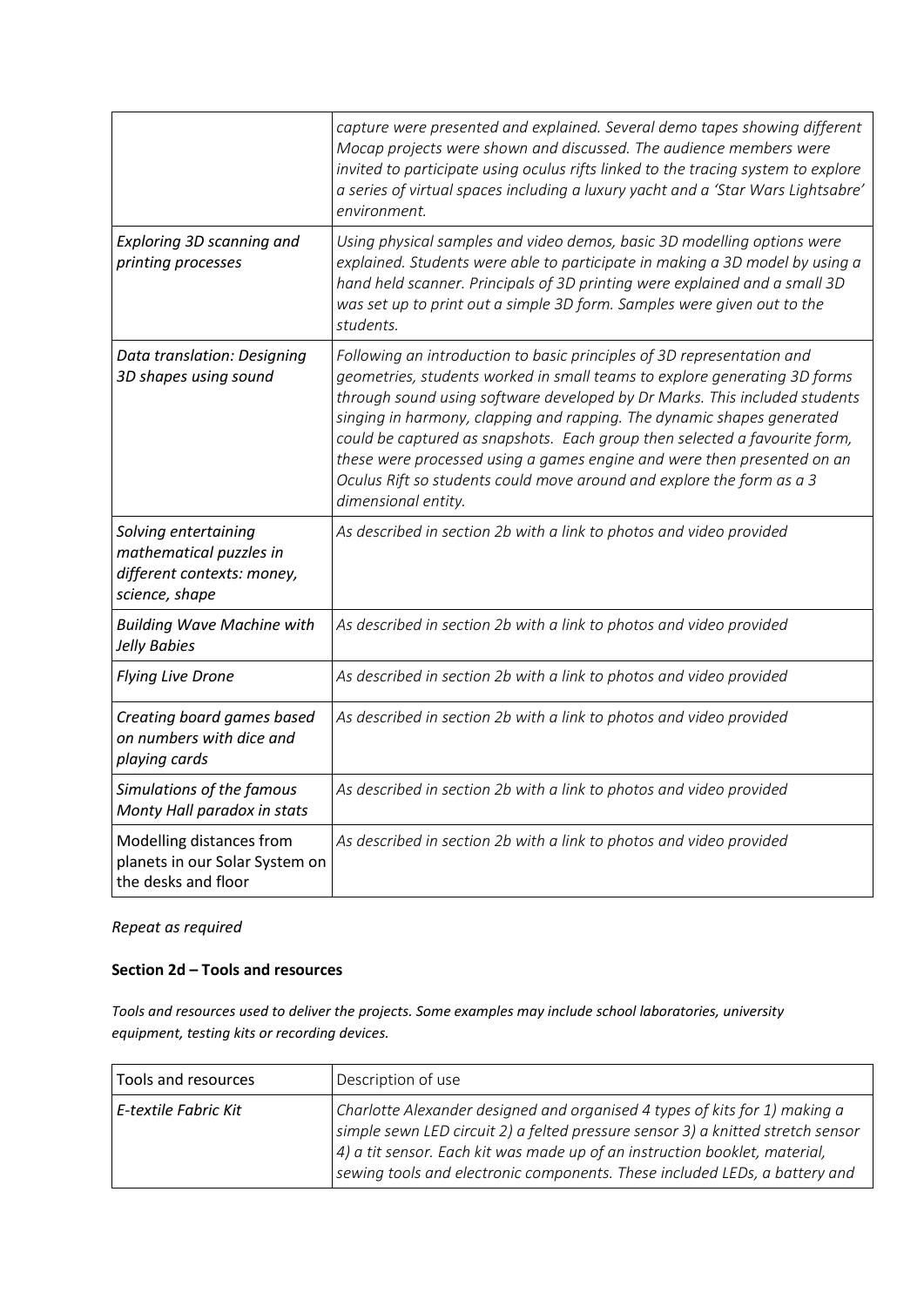|                                                                                                 | capture were presented and explained. Several demo tapes showing different<br>Mocap projects were shown and discussed. The audience members were<br>invited to participate using oculus rifts linked to the tracing system to explore<br>a series of virtual spaces including a luxury yacht and a 'Star Wars Lightsabre'<br>environment.                                                                                                                                                                                                                            |
|-------------------------------------------------------------------------------------------------|----------------------------------------------------------------------------------------------------------------------------------------------------------------------------------------------------------------------------------------------------------------------------------------------------------------------------------------------------------------------------------------------------------------------------------------------------------------------------------------------------------------------------------------------------------------------|
| Exploring 3D scanning and<br>printing processes                                                 | Using physical samples and video demos, basic 3D modelling options were<br>explained. Students were able to participate in making a 3D model by using a<br>hand held scanner. Principals of 3D printing were explained and a small 3D<br>was set up to print out a simple 3D form. Samples were given out to the<br>students.                                                                                                                                                                                                                                        |
| Data translation: Designing<br>3D shapes using sound                                            | Following an introduction to basic principles of 3D representation and<br>geometries, students worked in small teams to explore generating 3D forms<br>through sound using software developed by Dr Marks. This included students<br>singing in harmony, clapping and rapping. The dynamic shapes generated<br>could be captured as snapshots. Each group then selected a favourite form,<br>these were processed using a games engine and were then presented on an<br>Oculus Rift so students could move around and explore the form as a 3<br>dimensional entity. |
| Solving entertaining<br>mathematical puzzles in<br>different contexts: money,<br>science, shape | As described in section 2b with a link to photos and video provided                                                                                                                                                                                                                                                                                                                                                                                                                                                                                                  |
| <b>Building Wave Machine with</b><br>Jelly Babies                                               | As described in section 2b with a link to photos and video provided                                                                                                                                                                                                                                                                                                                                                                                                                                                                                                  |
| <b>Flying Live Drone</b>                                                                        | As described in section 2b with a link to photos and video provided                                                                                                                                                                                                                                                                                                                                                                                                                                                                                                  |
| Creating board games based<br>on numbers with dice and<br>playing cards                         | As described in section 2b with a link to photos and video provided                                                                                                                                                                                                                                                                                                                                                                                                                                                                                                  |
| Simulations of the famous<br>Monty Hall paradox in stats                                        | As described in section 2b with a link to photos and video provided                                                                                                                                                                                                                                                                                                                                                                                                                                                                                                  |
| Modelling distances from<br>planets in our Solar System on<br>the desks and floor               | As described in section 2b with a link to photos and video provided                                                                                                                                                                                                                                                                                                                                                                                                                                                                                                  |

#### **Section 2d – Tools and resources**

*Tools and resources used to deliver the projects. Some examples may include school laboratories, university equipment, testing kits or recording devices.* 

| Tools and resources  | Description of use                                                                                                                                                                                                                                                                                                           |
|----------------------|------------------------------------------------------------------------------------------------------------------------------------------------------------------------------------------------------------------------------------------------------------------------------------------------------------------------------|
| E-textile Fabric Kit | Charlotte Alexander designed and organised 4 types of kits for 1) making a<br>simple sewn LED circuit 2) a felted pressure sensor 3) a knitted stretch sensor<br>$(4)$ a tit sensor. Each kit was made up of an instruction booklet, material,<br>sewing tools and electronic components. These included LEDs, a battery and |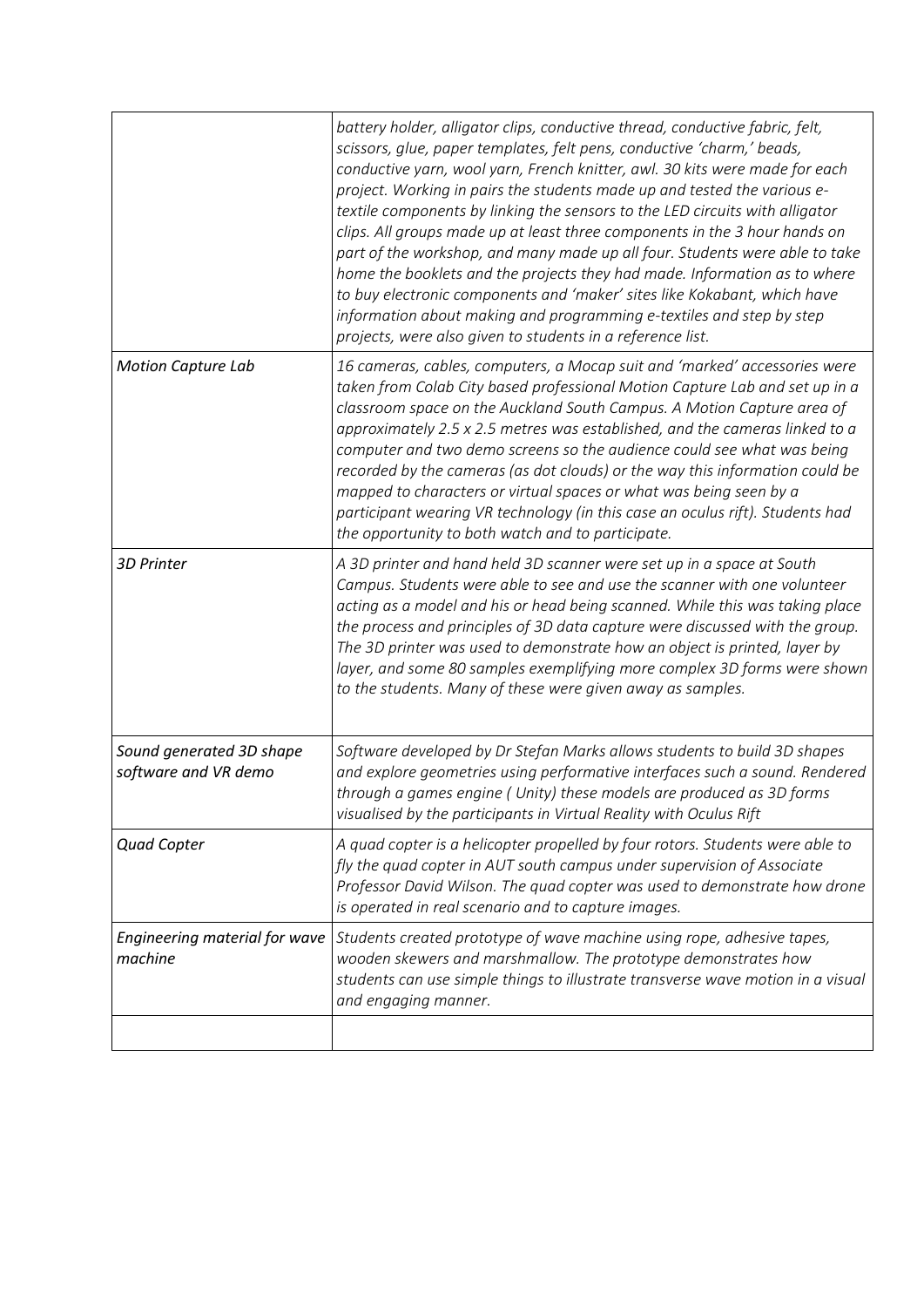|                                                  | battery holder, alligator clips, conductive thread, conductive fabric, felt,<br>scissors, glue, paper templates, felt pens, conductive 'charm,' beads,<br>conductive yarn, wool yarn, French knitter, awl. 30 kits were made for each<br>project. Working in pairs the students made up and tested the various e-<br>textile components by linking the sensors to the LED circuits with alligator<br>clips. All groups made up at least three components in the 3 hour hands on<br>part of the workshop, and many made up all four. Students were able to take<br>home the booklets and the projects they had made. Information as to where<br>to buy electronic components and 'maker' sites like Kokabant, which have<br>information about making and programming e-textiles and step by step<br>projects, were also given to students in a reference list. |
|--------------------------------------------------|---------------------------------------------------------------------------------------------------------------------------------------------------------------------------------------------------------------------------------------------------------------------------------------------------------------------------------------------------------------------------------------------------------------------------------------------------------------------------------------------------------------------------------------------------------------------------------------------------------------------------------------------------------------------------------------------------------------------------------------------------------------------------------------------------------------------------------------------------------------|
| <b>Motion Capture Lab</b>                        | 16 cameras, cables, computers, a Mocap suit and 'marked' accessories were<br>taken from Colab City based professional Motion Capture Lab and set up in a<br>classroom space on the Auckland South Campus. A Motion Capture area of<br>approximately 2.5 x 2.5 metres was established, and the cameras linked to a<br>computer and two demo screens so the audience could see what was being<br>recorded by the cameras (as dot clouds) or the way this information could be<br>mapped to characters or virtual spaces or what was being seen by a<br>participant wearing VR technology (in this case an oculus rift). Students had<br>the opportunity to both watch and to participate.                                                                                                                                                                       |
| <b>3D Printer</b>                                | A 3D printer and hand held 3D scanner were set up in a space at South<br>Campus. Students were able to see and use the scanner with one volunteer<br>acting as a model and his or head being scanned. While this was taking place<br>the process and principles of 3D data capture were discussed with the group.<br>The 3D printer was used to demonstrate how an object is printed, layer by<br>layer, and some 80 samples exemplifying more complex 3D forms were shown<br>to the students. Many of these were given away as samples.                                                                                                                                                                                                                                                                                                                      |
| Sound generated 3D shape<br>software and VR demo | Software developed by Dr Stefan Marks allows students to build 3D shapes<br>and explore geometries using performative interfaces such a sound. Rendered<br>through a games engine (Unity) these models are produced as 3D forms<br>visualised by the participants in Virtual Reality with Oculus Rift                                                                                                                                                                                                                                                                                                                                                                                                                                                                                                                                                         |
| <b>Quad Copter</b>                               | A quad copter is a helicopter propelled by four rotors. Students were able to<br>fly the quad copter in AUT south campus under supervision of Associate<br>Professor David Wilson. The quad copter was used to demonstrate how drone<br>is operated in real scenario and to capture images.                                                                                                                                                                                                                                                                                                                                                                                                                                                                                                                                                                   |
| Engineering material for wave<br>machine         | Students created prototype of wave machine using rope, adhesive tapes,<br>wooden skewers and marshmallow. The prototype demonstrates how<br>students can use simple things to illustrate transverse wave motion in a visual<br>and engaging manner.                                                                                                                                                                                                                                                                                                                                                                                                                                                                                                                                                                                                           |
|                                                  |                                                                                                                                                                                                                                                                                                                                                                                                                                                                                                                                                                                                                                                                                                                                                                                                                                                               |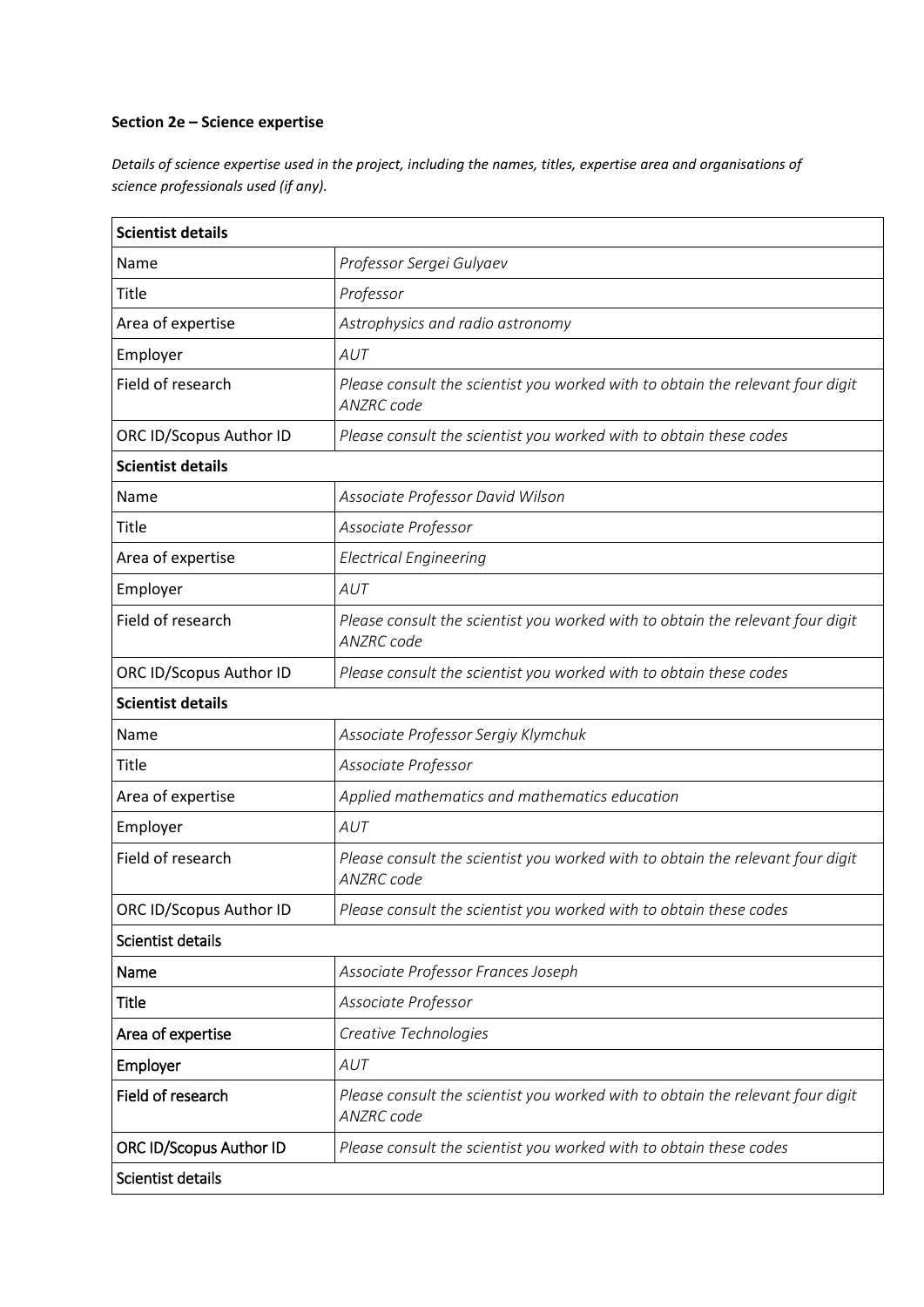#### **Section 2e – Science expertise**

*Details of science expertise used in the project, including the names, titles, expertise area and organisations of science professionals used (if any).* 

| <b>Scientist details</b>       |                                                                                              |  |  |
|--------------------------------|----------------------------------------------------------------------------------------------|--|--|
| Name                           | Professor Sergei Gulyaev                                                                     |  |  |
| <b>Title</b>                   | Professor                                                                                    |  |  |
| Area of expertise              | Astrophysics and radio astronomy                                                             |  |  |
| Employer                       | AUT                                                                                          |  |  |
| Field of research              | Please consult the scientist you worked with to obtain the relevant four digit<br>ANZRC code |  |  |
| ORC ID/Scopus Author ID        | Please consult the scientist you worked with to obtain these codes                           |  |  |
| <b>Scientist details</b>       |                                                                                              |  |  |
| Name                           | Associate Professor David Wilson                                                             |  |  |
| <b>Title</b>                   | Associate Professor                                                                          |  |  |
| Area of expertise              | <b>Electrical Engineering</b>                                                                |  |  |
| Employer                       | AUT                                                                                          |  |  |
| Field of research              | Please consult the scientist you worked with to obtain the relevant four digit<br>ANZRC code |  |  |
| ORC ID/Scopus Author ID        | Please consult the scientist you worked with to obtain these codes                           |  |  |
| <b>Scientist details</b>       |                                                                                              |  |  |
| Name                           | Associate Professor Sergiy Klymchuk                                                          |  |  |
| Title                          | Associate Professor                                                                          |  |  |
| Area of expertise              | Applied mathematics and mathematics education                                                |  |  |
| Employer                       | AUT                                                                                          |  |  |
| Field of research              | Please consult the scientist you worked with to obtain the relevant four digit<br>ANZRC code |  |  |
| ORC ID/Scopus Author ID        | Please consult the scientist you worked with to obtain these codes                           |  |  |
| Scientist details              |                                                                                              |  |  |
| Name                           | Associate Professor Frances Joseph                                                           |  |  |
| Title                          | Associate Professor                                                                          |  |  |
| Area of expertise              | Creative Technologies                                                                        |  |  |
| Employer                       | AUT                                                                                          |  |  |
| Field of research              | Please consult the scientist you worked with to obtain the relevant four digit<br>ANZRC code |  |  |
| <b>ORC ID/Scopus Author ID</b> | Please consult the scientist you worked with to obtain these codes                           |  |  |
| Scientist details              |                                                                                              |  |  |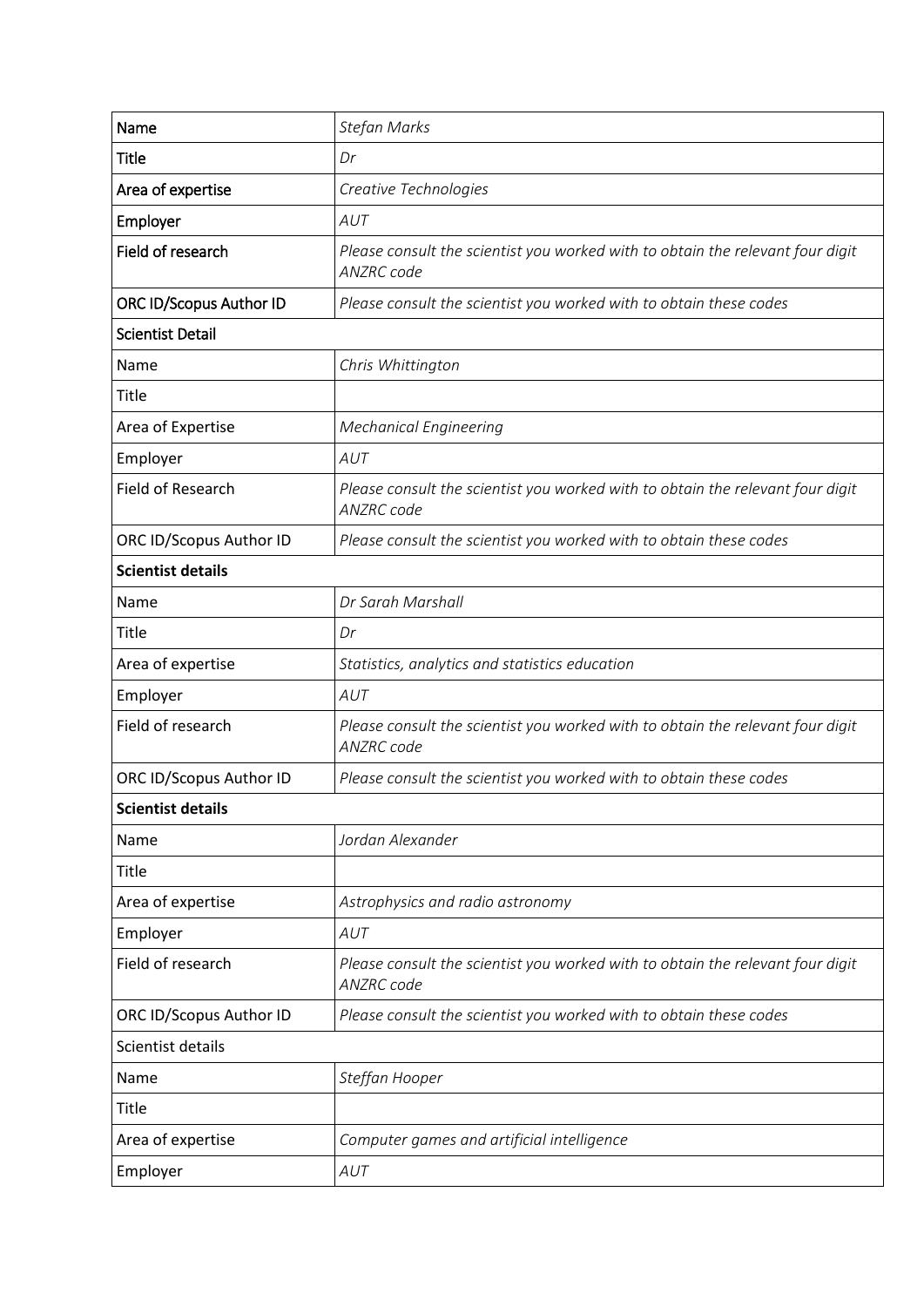| Name                           | <b>Stefan Marks</b>                                                                                 |  |
|--------------------------------|-----------------------------------------------------------------------------------------------------|--|
| Title                          | Dr                                                                                                  |  |
| Area of expertise              | Creative Technologies                                                                               |  |
| Employer                       | AUT                                                                                                 |  |
| Field of research              | Please consult the scientist you worked with to obtain the relevant four digit<br><b>ANZRC</b> code |  |
| <b>ORC ID/Scopus Author ID</b> | Please consult the scientist you worked with to obtain these codes                                  |  |
| <b>Scientist Detail</b>        |                                                                                                     |  |
| Name                           | Chris Whittington                                                                                   |  |
| <b>Title</b>                   |                                                                                                     |  |
| Area of Expertise              | <b>Mechanical Engineering</b>                                                                       |  |
| Employer                       | AUT                                                                                                 |  |
| Field of Research              | Please consult the scientist you worked with to obtain the relevant four digit<br>ANZRC code        |  |
| ORC ID/Scopus Author ID        | Please consult the scientist you worked with to obtain these codes                                  |  |
| <b>Scientist details</b>       |                                                                                                     |  |
| Name                           | Dr Sarah Marshall                                                                                   |  |
| <b>Title</b>                   | Dr                                                                                                  |  |
| Area of expertise              | Statistics, analytics and statistics education                                                      |  |
| Employer                       | AUT                                                                                                 |  |
| Field of research              | Please consult the scientist you worked with to obtain the relevant four digit<br>ANZRC code        |  |
| ORC ID/Scopus Author ID        | Please consult the scientist you worked with to obtain these codes                                  |  |
| <b>Scientist details</b>       |                                                                                                     |  |
| Name                           | Jordan Alexander                                                                                    |  |
| <b>Title</b>                   |                                                                                                     |  |
| Area of expertise              | Astrophysics and radio astronomy                                                                    |  |
| Employer                       | AUT                                                                                                 |  |
| Field of research              | Please consult the scientist you worked with to obtain the relevant four digit<br>ANZRC code        |  |
| ORC ID/Scopus Author ID        | Please consult the scientist you worked with to obtain these codes                                  |  |
| Scientist details              |                                                                                                     |  |
| Name                           | Steffan Hooper                                                                                      |  |
| Title                          |                                                                                                     |  |
| Area of expertise              | Computer games and artificial intelligence                                                          |  |
| Employer                       | AUT                                                                                                 |  |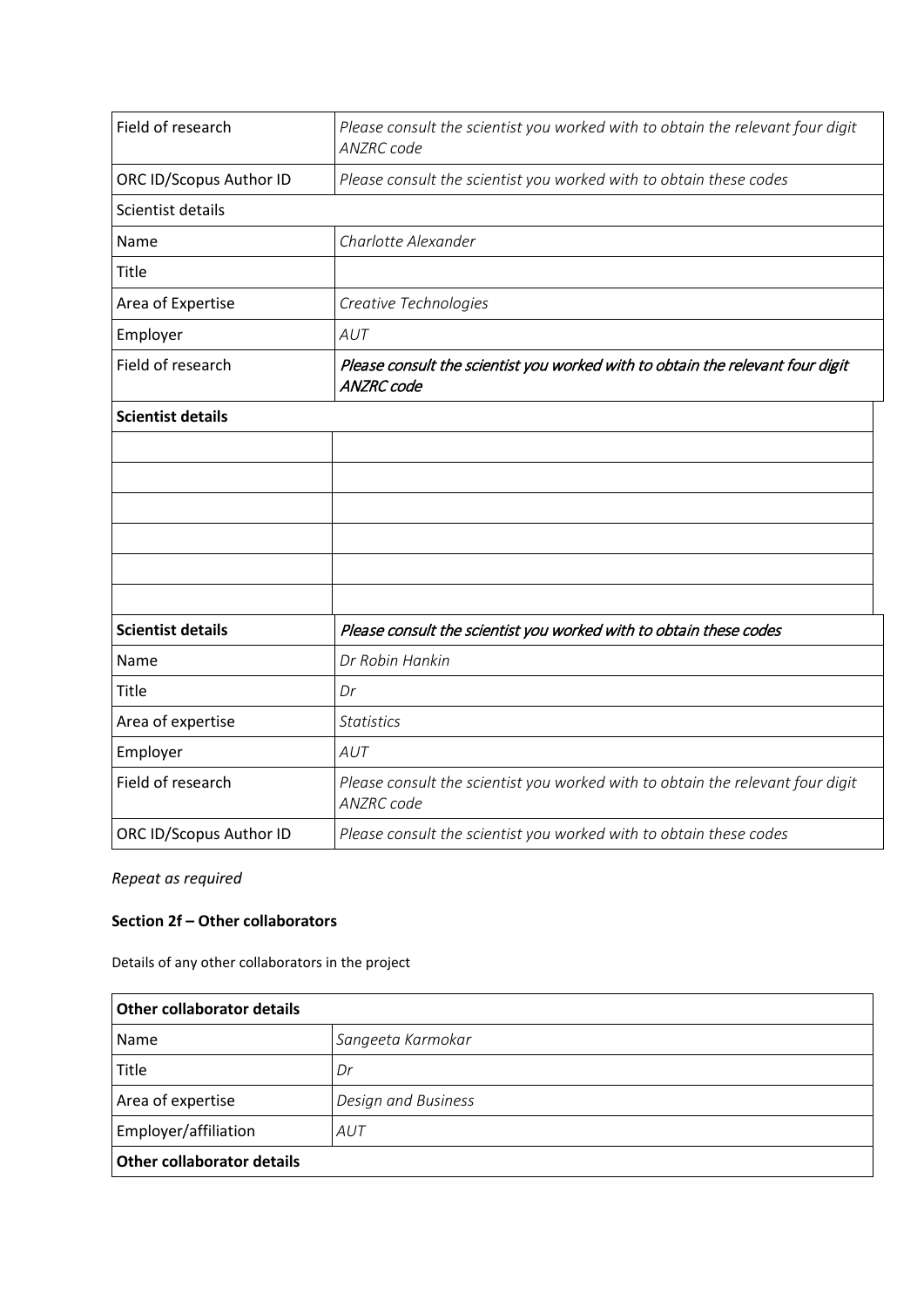| Field of research        | Please consult the scientist you worked with to obtain the relevant four digit<br><b>ANZRC</b> code |
|--------------------------|-----------------------------------------------------------------------------------------------------|
| ORC ID/Scopus Author ID  | Please consult the scientist you worked with to obtain these codes                                  |
| Scientist details        |                                                                                                     |
| Name                     | Charlotte Alexander                                                                                 |
| Title                    |                                                                                                     |
| Area of Expertise        | Creative Technologies                                                                               |
| Employer                 | AUT                                                                                                 |
| Field of research        | Please consult the scientist you worked with to obtain the relevant four digit<br><b>ANZRC</b> code |
| <b>Scientist details</b> |                                                                                                     |
|                          |                                                                                                     |
|                          |                                                                                                     |
|                          |                                                                                                     |
|                          |                                                                                                     |
|                          |                                                                                                     |
|                          |                                                                                                     |
| <b>Scientist details</b> | Please consult the scientist you worked with to obtain these codes                                  |
| Name                     | Dr Robin Hankin                                                                                     |
| <b>Title</b>             | Dr                                                                                                  |
| Area of expertise        | <b>Statistics</b>                                                                                   |
| Employer                 | AUT                                                                                                 |
| Field of research        | Please consult the scientist you worked with to obtain the relevant four digit<br><b>ANZRC</b> code |
| ORC ID/Scopus Author ID  | Please consult the scientist you worked with to obtain these codes                                  |

#### **Section 2f – Other collaborators**

Details of any other collaborators in the project

| Other collaborator details |                     |
|----------------------------|---------------------|
| Name                       | Sangeeta Karmokar   |
| Title                      | Dr                  |
| Area of expertise          | Design and Business |
| Employer/affiliation       | AUT                 |
| Other collaborator details |                     |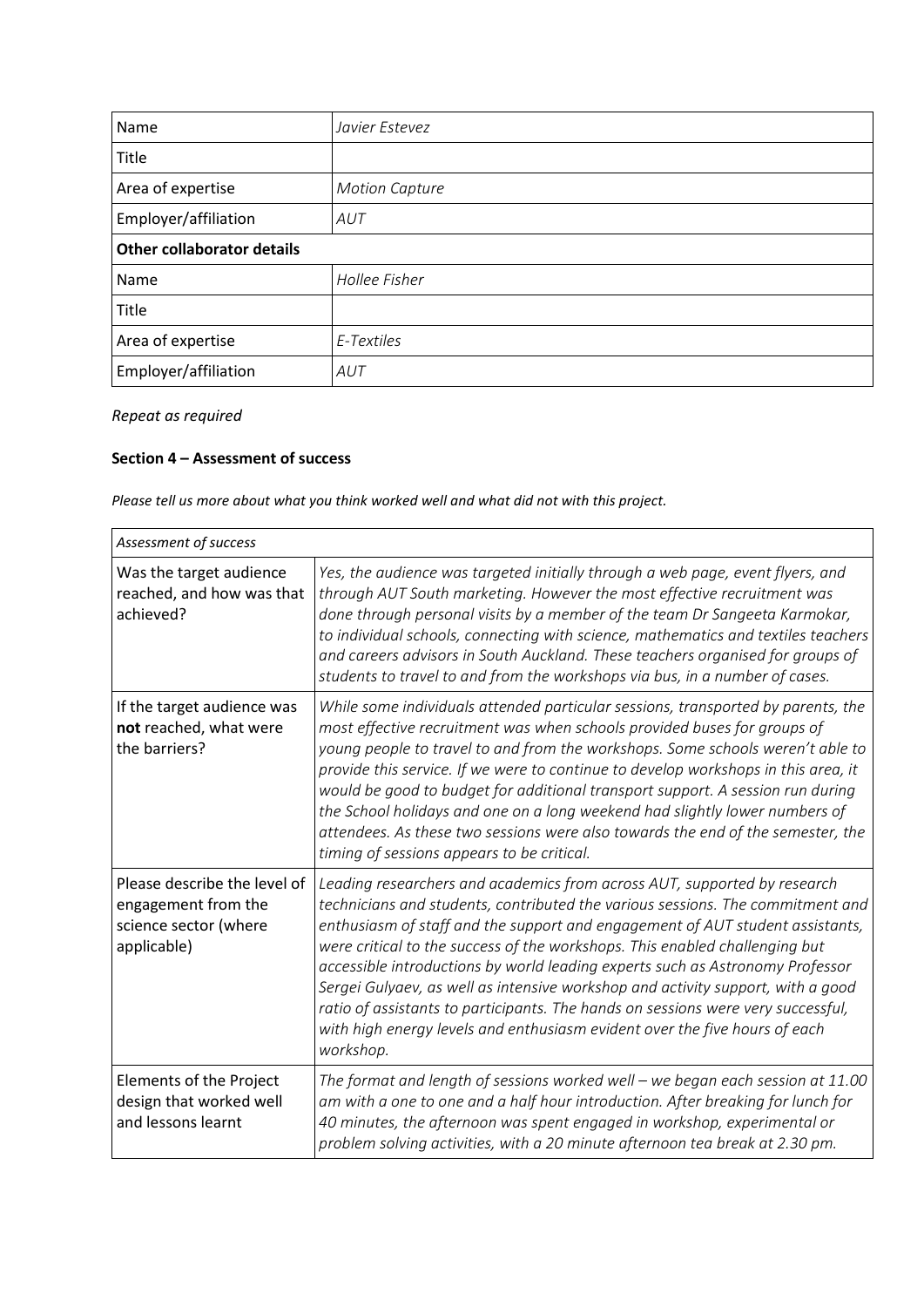| Name                       | Javier Estevez        |  |
|----------------------------|-----------------------|--|
| Title                      |                       |  |
| Area of expertise          | <b>Motion Capture</b> |  |
| Employer/affiliation       | AUT                   |  |
| Other collaborator details |                       |  |
| Name                       | Hollee Fisher         |  |
| Title                      |                       |  |
| Area of expertise          | E-Textiles            |  |
| Employer/affiliation       | AUT                   |  |

#### **Section 4 – Assessment of success**

*Please tell us more about what you think worked well and what did not with this project.* 

| Assessment of success                                                                       |                                                                                                                                                                                                                                                                                                                                                                                                                                                                                                                                                                                                                                                                               |  |
|---------------------------------------------------------------------------------------------|-------------------------------------------------------------------------------------------------------------------------------------------------------------------------------------------------------------------------------------------------------------------------------------------------------------------------------------------------------------------------------------------------------------------------------------------------------------------------------------------------------------------------------------------------------------------------------------------------------------------------------------------------------------------------------|--|
| Was the target audience<br>reached, and how was that<br>achieved?                           | Yes, the audience was targeted initially through a web page, event flyers, and<br>through AUT South marketing. However the most effective recruitment was<br>done through personal visits by a member of the team Dr Sangeeta Karmokar,<br>to individual schools, connecting with science, mathematics and textiles teachers<br>and careers advisors in South Auckland. These teachers organised for groups of<br>students to travel to and from the workshops via bus, in a number of cases.                                                                                                                                                                                 |  |
| If the target audience was<br>not reached, what were<br>the barriers?                       | While some individuals attended particular sessions, transported by parents, the<br>most effective recruitment was when schools provided buses for groups of<br>young people to travel to and from the workshops. Some schools weren't able to<br>provide this service. If we were to continue to develop workshops in this area, it<br>would be good to budget for additional transport support. A session run during<br>the School holidays and one on a long weekend had slightly lower numbers of<br>attendees. As these two sessions were also towards the end of the semester, the<br>timing of sessions appears to be critical.                                        |  |
| Please describe the level of<br>engagement from the<br>science sector (where<br>applicable) | Leading researchers and academics from across AUT, supported by research<br>technicians and students, contributed the various sessions. The commitment and<br>enthusiasm of staff and the support and engagement of AUT student assistants,<br>were critical to the success of the workshops. This enabled challenging but<br>accessible introductions by world leading experts such as Astronomy Professor<br>Sergei Gulyaev, as well as intensive workshop and activity support, with a good<br>ratio of assistants to participants. The hands on sessions were very successful,<br>with high energy levels and enthusiasm evident over the five hours of each<br>workshop. |  |
| Elements of the Project<br>design that worked well<br>and lessons learnt                    | The format and length of sessions worked well - we began each session at 11.00<br>am with a one to one and a half hour introduction. After breaking for lunch for<br>40 minutes, the afternoon was spent engaged in workshop, experimental or<br>problem solving activities, with a 20 minute afternoon tea break at 2.30 pm.                                                                                                                                                                                                                                                                                                                                                 |  |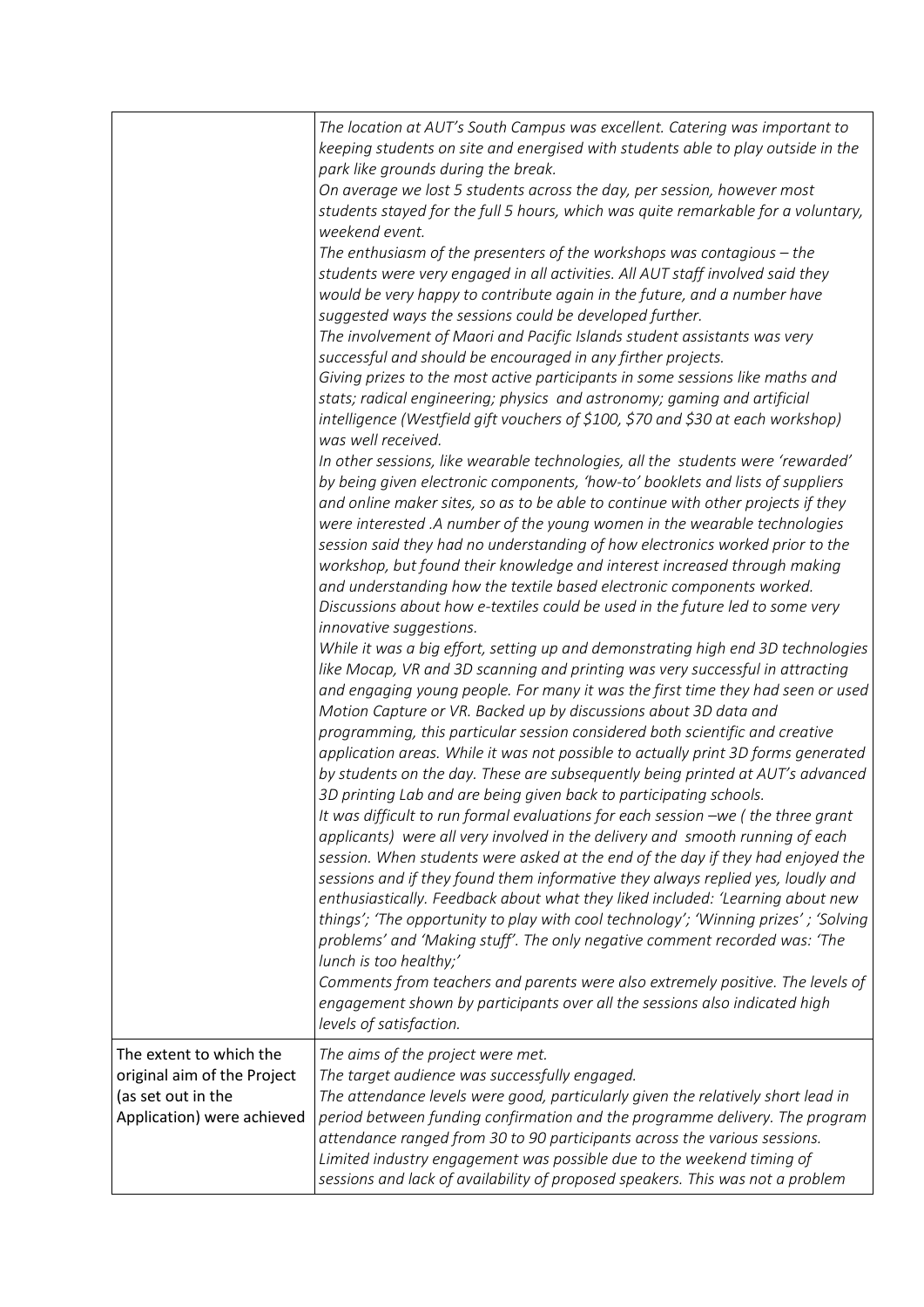|                                                                                                            | The location at AUT's South Campus was excellent. Catering was important to<br>keeping students on site and energised with students able to play outside in the<br>park like grounds during the break.<br>On average we lost 5 students across the day, per session, however most<br>students stayed for the full 5 hours, which was quite remarkable for a voluntary,<br>weekend event.<br>The enthusiasm of the presenters of the workshops was contagious $-$ the<br>students were very engaged in all activities. All AUT staff involved said they<br>would be very happy to contribute again in the future, and a number have<br>suggested ways the sessions could be developed further.<br>The involvement of Maori and Pacific Islands student assistants was very<br>successful and should be encouraged in any firther projects.<br>Giving prizes to the most active participants in some sessions like maths and<br>stats; radical engineering; physics and astronomy; gaming and artificial<br>intelligence (Westfield gift vouchers of \$100, \$70 and \$30 at each workshop)<br>was well received.<br>In other sessions, like wearable technologies, all the students were 'rewarded'<br>by being given electronic components, 'how-to' booklets and lists of suppliers<br>and online maker sites, so as to be able to continue with other projects if they<br>were interested .A number of the young women in the wearable technologies<br>session said they had no understanding of how electronics worked prior to the<br>workshop, but found their knowledge and interest increased through making<br>and understanding how the textile based electronic components worked.<br>Discussions about how e-textiles could be used in the future led to some very<br>innovative suggestions.<br>While it was a big effort, setting up and demonstrating high end 3D technologies<br>like Mocap, VR and 3D scanning and printing was very successful in attracting<br>and engaging young people. For many it was the first time they had seen or used<br>Motion Capture or VR. Backed up by discussions about 3D data and<br>programming, this particular session considered both scientific and creative<br>application areas. While it was not possible to actually print 3D forms generated<br>by students on the day. These are subsequently being printed at AUT's advanced<br>3D printing Lab and are being given back to participating schools.<br>It was difficult to run formal evaluations for each session -we (the three grant<br>applicants) were all very involved in the delivery and smooth running of each<br>session. When students were asked at the end of the day if they had enjoyed the<br>sessions and if they found them informative they always replied yes, loudly and<br>enthusiastically. Feedback about what they liked included: 'Learning about new<br>things'; 'The opportunity to play with cool technology'; 'Winning prizes'; 'Solving<br>problems' and 'Making stuff'. The only negative comment recorded was: 'The<br>lunch is too healthy;'<br>Comments from teachers and parents were also extremely positive. The levels of<br>engagement shown by participants over all the sessions also indicated high |
|------------------------------------------------------------------------------------------------------------|---------------------------------------------------------------------------------------------------------------------------------------------------------------------------------------------------------------------------------------------------------------------------------------------------------------------------------------------------------------------------------------------------------------------------------------------------------------------------------------------------------------------------------------------------------------------------------------------------------------------------------------------------------------------------------------------------------------------------------------------------------------------------------------------------------------------------------------------------------------------------------------------------------------------------------------------------------------------------------------------------------------------------------------------------------------------------------------------------------------------------------------------------------------------------------------------------------------------------------------------------------------------------------------------------------------------------------------------------------------------------------------------------------------------------------------------------------------------------------------------------------------------------------------------------------------------------------------------------------------------------------------------------------------------------------------------------------------------------------------------------------------------------------------------------------------------------------------------------------------------------------------------------------------------------------------------------------------------------------------------------------------------------------------------------------------------------------------------------------------------------------------------------------------------------------------------------------------------------------------------------------------------------------------------------------------------------------------------------------------------------------------------------------------------------------------------------------------------------------------------------------------------------------------------------------------------------------------------------------------------------------------------------------------------------------------------------------------------------------------------------------------------------------------------------------------------------------------------------------------------------------------------------------------------------------------------------------------------------------------------------------------------------------------------------------------------------------------------------------------------------------------------------------------------------------------------------------------------------------------------------------------|
|                                                                                                            | levels of satisfaction.                                                                                                                                                                                                                                                                                                                                                                                                                                                                                                                                                                                                                                                                                                                                                                                                                                                                                                                                                                                                                                                                                                                                                                                                                                                                                                                                                                                                                                                                                                                                                                                                                                                                                                                                                                                                                                                                                                                                                                                                                                                                                                                                                                                                                                                                                                                                                                                                                                                                                                                                                                                                                                                                                                                                                                                                                                                                                                                                                                                                                                                                                                                                                                                                                                       |
| The extent to which the<br>original aim of the Project<br>(as set out in the<br>Application) were achieved | The aims of the project were met.<br>The target audience was successfully engaged.<br>The attendance levels were good, particularly given the relatively short lead in<br>period between funding confirmation and the programme delivery. The program<br>attendance ranged from 30 to 90 participants across the various sessions.<br>Limited industry engagement was possible due to the weekend timing of<br>sessions and lack of availability of proposed speakers. This was not a problem                                                                                                                                                                                                                                                                                                                                                                                                                                                                                                                                                                                                                                                                                                                                                                                                                                                                                                                                                                                                                                                                                                                                                                                                                                                                                                                                                                                                                                                                                                                                                                                                                                                                                                                                                                                                                                                                                                                                                                                                                                                                                                                                                                                                                                                                                                                                                                                                                                                                                                                                                                                                                                                                                                                                                                 |